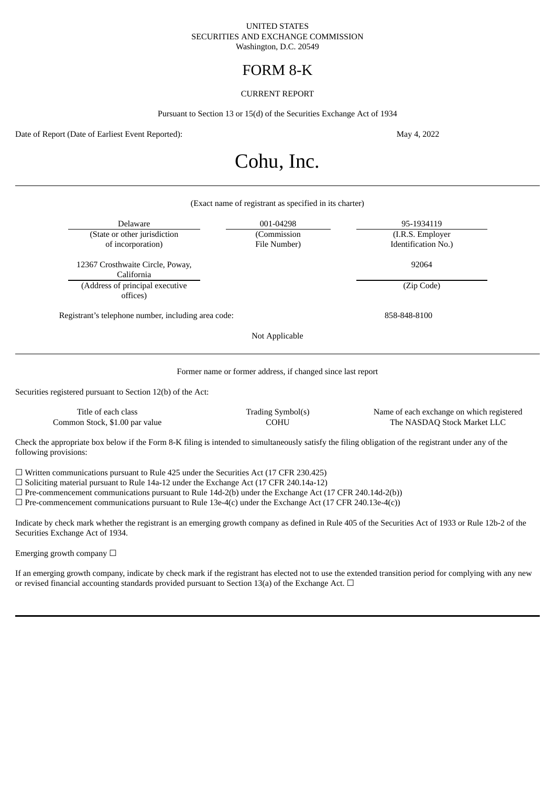#### UNITED STATES SECURITIES AND EXCHANGE COMMISSION Washington, D.C. 20549

# FORM 8-K

# CURRENT REPORT

Pursuant to Section 13 or 15(d) of the Securities Exchange Act of 1934

Date of Report (Date of Earliest Event Reported): May 4, 2022

# Cohu, Inc.

| Delaware                                            | 001-04298      | 95-1934119          |
|-----------------------------------------------------|----------------|---------------------|
| (State or other jurisdiction                        | (Commission    | (I.R.S. Employer    |
| of incorporation)                                   | File Number)   | Identification No.) |
| 12367 Crosthwaite Circle, Poway,                    |                | 92064               |
| California                                          |                |                     |
| (Address of principal executive<br>offices)         |                | (Zip Code)          |
| Registrant's telephone number, including area code: |                | 858-848-8100        |
|                                                     | Not Applicable |                     |
|                                                     |                |                     |

Securities registered pursuant to Section 12(b) of the Act:

| Title of each class            | Trading Symbol(s) | Name of each exchange on which registered |
|--------------------------------|-------------------|-------------------------------------------|
| Common Stock, \$1.00 par value | COHU              | The NASDAQ Stock Market LLC               |

Check the appropriate box below if the Form 8-K filing is intended to simultaneously satisfy the filing obligation of the registrant under any of the following provisions:

☐ Written communications pursuant to Rule 425 under the Securities Act (17 CFR 230.425)

☐ Soliciting material pursuant to Rule 14a-12 under the Exchange Act (17 CFR 240.14a-12)

 $\Box$  Pre-commencement communications pursuant to Rule 14d-2(b) under the Exchange Act (17 CFR 240.14d-2(b))

 $\Box$  Pre-commencement communications pursuant to Rule 13e-4(c) under the Exchange Act (17 CFR 240.13e-4(c))

Indicate by check mark whether the registrant is an emerging growth company as defined in Rule 405 of the Securities Act of 1933 or Rule 12b-2 of the Securities Exchange Act of 1934.

Emerging growth company  $\Box$ 

If an emerging growth company, indicate by check mark if the registrant has elected not to use the extended transition period for complying with any new or revised financial accounting standards provided pursuant to Section 13(a) of the Exchange Act.  $\Box$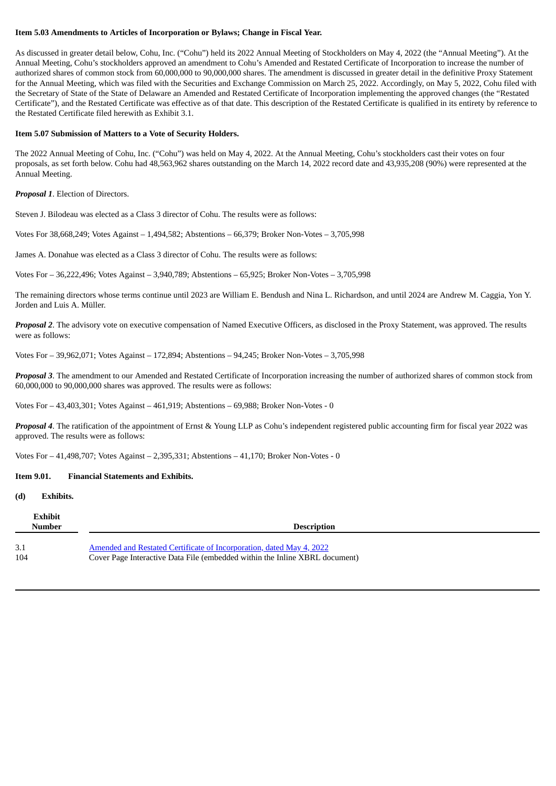## **Item 5.03 Amendments to Articles of Incorporation or Bylaws; Change in Fiscal Year.**

As discussed in greater detail below, Cohu, Inc. ("Cohu") held its 2022 Annual Meeting of Stockholders on May 4, 2022 (the "Annual Meeting"). At the Annual Meeting, Cohu's stockholders approved an amendment to Cohu's Amended and Restated Certificate of Incorporation to increase the number of authorized shares of common stock from 60,000,000 to 90,000,000 shares. The amendment is discussed in greater detail in the definitive Proxy Statement for the Annual Meeting, which was filed with the Securities and Exchange Commission on March 25, 2022. Accordingly, on May 5, 2022, Cohu filed with the Secretary of State of the State of Delaware an Amended and Restated Certificate of Incorporation implementing the approved changes (the "Restated Certificate"), and the Restated Certificate was effective as of that date. This description of the Restated Certificate is qualified in its entirety by reference to the Restated Certificate filed herewith as Exhibit 3.1.

## **Item 5.07 Submission of Matters to a Vote of Security Holders.**

The 2022 Annual Meeting of Cohu, Inc. ("Cohu") was held on May 4, 2022. At the Annual Meeting, Cohu's stockholders cast their votes on four proposals, as set forth below. Cohu had 48,563,962 shares outstanding on the March 14, 2022 record date and 43,935,208 (90%) were represented at the Annual Meeting.

*Proposal 1*. Election of Directors.

Steven J. Bilodeau was elected as a Class 3 director of Cohu. The results were as follows:

Votes For 38,668,249; Votes Against – 1,494,582; Abstentions – 66,379; Broker Non-Votes – 3,705,998

James A. Donahue was elected as a Class 3 director of Cohu. The results were as follows:

Votes For – 36,222,496; Votes Against – 3,940,789; Abstentions – 65,925; Broker Non-Votes – 3,705,998

The remaining directors whose terms continue until 2023 are William E. Bendush and Nina L. Richardson, and until 2024 are Andrew M. Caggia, Yon Y. Jorden and Luis A. Müller.

*Proposal 2*. The advisory vote on executive compensation of Named Executive Officers, as disclosed in the Proxy Statement, was approved. The results were as follows:

Votes For – 39,962,071; Votes Against – 172,894; Abstentions – 94,245; Broker Non-Votes – 3,705,998

*Proposal 3*. The amendment to our Amended and Restated Certificate of Incorporation increasing the number of authorized shares of common stock from 60,000,000 to 90,000,000 shares was approved. The results were as follows:

Votes For – 43,403,301; Votes Against – 461,919; Abstentions – 69,988; Broker Non-Votes - 0

*Proposal 4*. The ratification of the appointment of Ernst & Young LLP as Cohu's independent registered public accounting firm for fiscal year 2022 was approved. The results were as follows:

Votes For – 41,498,707; Votes Against – 2,395,331; Abstentions – 41,170; Broker Non-Votes - 0

### **Item 9.01. Financial Statements and Exhibits.**

**(d) Exhibits.**

| Exhibit<br>Number | <b>Description</b>                                                          |
|-------------------|-----------------------------------------------------------------------------|
| 3.1               | Amended and Restated Certificate of Incorporation, dated May 4, 2022        |
| 104               | Cover Page Interactive Data File (embedded within the Inline XBRL document) |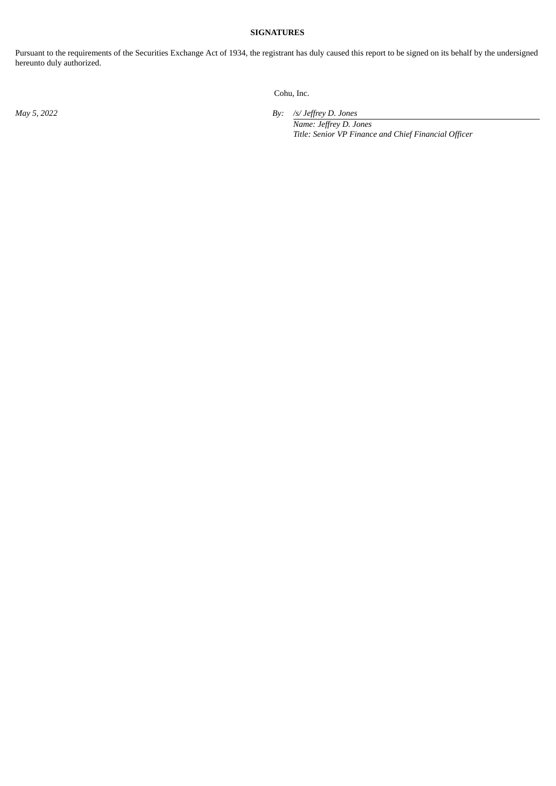# **SIGNATURES**

Pursuant to the requirements of the Securities Exchange Act of 1934, the registrant has duly caused this report to be signed on its behalf by the undersigned hereunto duly authorized.

Cohu, Inc.

*May 5, 2022 By: /s/ Jeffrey D. Jones Name: Jeffrey D. Jones Title: Senior VP Finance and Chief Financial Officer*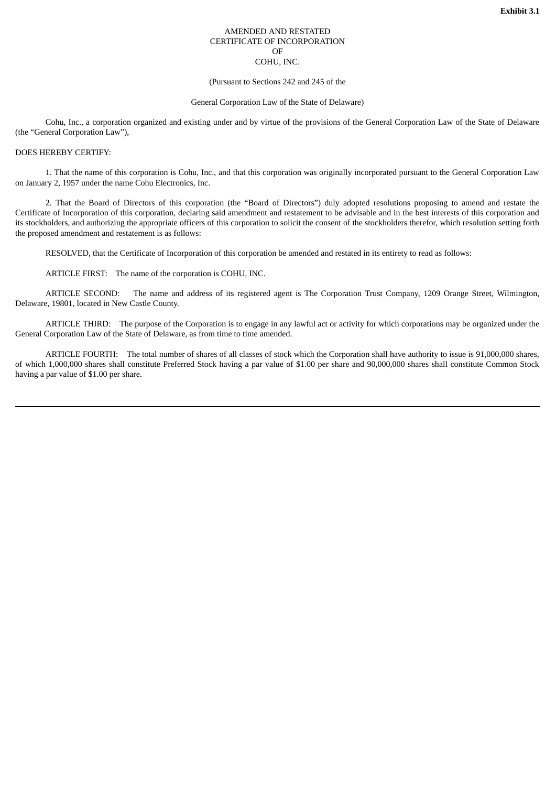#### AMENDED AND RESTATED CERTIFICATE OF INCORPORATION OF COHU, INC.

#### (Pursuant to Sections 242 and 245 of the

#### General Corporation Law of the State of Delaware)

<span id="page-3-0"></span>Cohu, Inc., a corporation organized and existing under and by virtue of the provisions of the General Corporation Law of the State of Delaware (the "General Corporation Law"),

#### DOES HEREBY CERTIFY:

1. That the name of this corporation is Cohu, Inc., and that this corporation was originally incorporated pursuant to the General Corporation Law on January 2, 1957 under the name Cohu Electronics, Inc.

2. That the Board of Directors of this corporation (the "Board of Directors") duly adopted resolutions proposing to amend and restate the Certificate of Incorporation of this corporation, declaring said amendment and restatement to be advisable and in the best interests of this corporation and its stockholders, and authorizing the appropriate officers of this corporation to solicit the consent of the stockholders therefor, which resolution setting forth the proposed amendment and restatement is as follows:

RESOLVED, that the Certificate of Incorporation of this corporation be amended and restated in its entirety to read as follows:

ARTICLE FIRST: The name of the corporation is COHU, INC.

ARTICLE SECOND: The name and address of its registered agent is The Corporation Trust Company, 1209 Orange Street, Wilmington, Delaware, 19801, located in New Castle County.

ARTICLE THIRD: The purpose of the Corporation is to engage in any lawful act or activity for which corporations may be organized under the General Corporation Law of the State of Delaware, as from time to time amended.

ARTICLE FOURTH: The total number of shares of all classes of stock which the Corporation shall have authority to issue is 91,000,000 shares, of which 1,000,000 shares shall constitute Preferred Stock having a par value of \$1.00 per share and 90,000,000 shares shall constitute Common Stock having a par value of \$1.00 per share.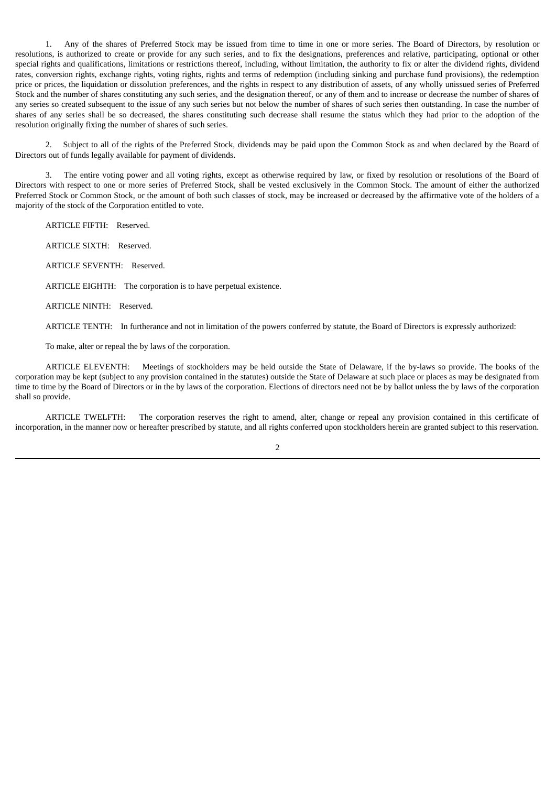1. Any of the shares of Preferred Stock may be issued from time to time in one or more series. The Board of Directors, by resolution or resolutions, is authorized to create or provide for any such series, and to fix the designations, preferences and relative, participating, optional or other special rights and qualifications, limitations or restrictions thereof, including, without limitation, the authority to fix or alter the dividend rights, dividend rates, conversion rights, exchange rights, voting rights, rights and terms of redemption (including sinking and purchase fund provisions), the redemption price or prices, the liquidation or dissolution preferences, and the rights in respect to any distribution of assets, of any wholly unissued series of Preferred Stock and the number of shares constituting any such series, and the designation thereof, or any of them and to increase or decrease the number of shares of any series so created subsequent to the issue of any such series but not below the number of shares of such series then outstanding. In case the number of shares of any series shall be so decreased, the shares constituting such decrease shall resume the status which they had prior to the adoption of the resolution originally fixing the number of shares of such series.

2. Subject to all of the rights of the Preferred Stock, dividends may be paid upon the Common Stock as and when declared by the Board of Directors out of funds legally available for payment of dividends.

3. The entire voting power and all voting rights, except as otherwise required by law, or fixed by resolution or resolutions of the Board of Directors with respect to one or more series of Preferred Stock, shall be vested exclusively in the Common Stock. The amount of either the authorized Preferred Stock or Common Stock, or the amount of both such classes of stock, may be increased or decreased by the affirmative vote of the holders of a majority of the stock of the Corporation entitled to vote.

ARTICLE FIFTH: Reserved.

ARTICLE SIXTH: Reserved.

ARTICLE SEVENTH: Reserved.

ARTICLE EIGHTH: The corporation is to have perpetual existence.

ARTICLE NINTH: Reserved.

ARTICLE TENTH: In furtherance and not in limitation of the powers conferred by statute, the Board of Directors is expressly authorized:

To make, alter or repeal the by laws of the corporation.

ARTICLE ELEVENTH: Meetings of stockholders may be held outside the State of Delaware, if the by-laws so provide. The books of the corporation may be kept (subject to any provision contained in the statutes) outside the State of Delaware at such place or places as may be designated from time to time by the Board of Directors or in the by laws of the corporation. Elections of directors need not be by ballot unless the by laws of the corporation shall so provide.

ARTICLE TWELFTH: The corporation reserves the right to amend, alter, change or repeal any provision contained in this certificate of incorporation, in the manner now or hereafter prescribed by statute, and all rights conferred upon stockholders herein are granted subject to this reservation.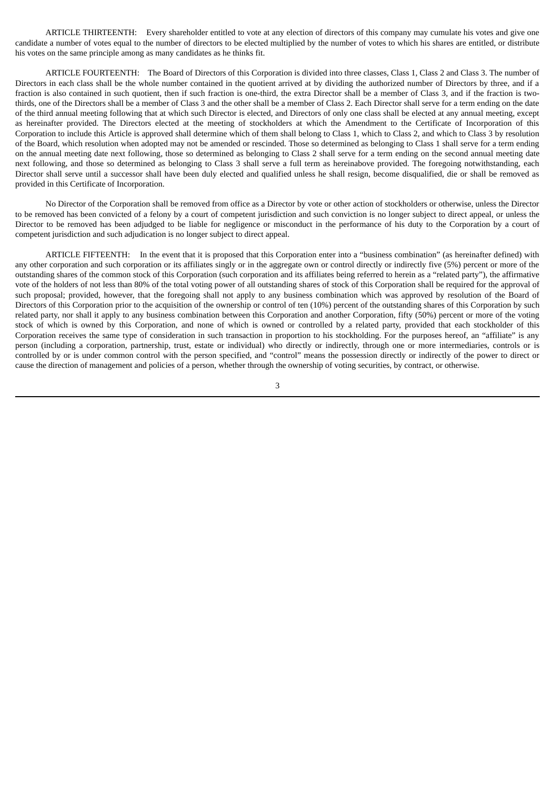ARTICLE THIRTEENTH: Every shareholder entitled to vote at any election of directors of this company may cumulate his votes and give one candidate a number of votes equal to the number of directors to be elected multiplied by the number of votes to which his shares are entitled, or distribute his votes on the same principle among as many candidates as he thinks fit.

ARTICLE FOURTEENTH: The Board of Directors of this Corporation is divided into three classes, Class 1, Class 2 and Class 3. The number of Directors in each class shall be the whole number contained in the quotient arrived at by dividing the authorized number of Directors by three, and if a fraction is also contained in such quotient, then if such fraction is one-third, the extra Director shall be a member of Class 3, and if the fraction is twothirds, one of the Directors shall be a member of Class 3 and the other shall be a member of Class 2. Each Director shall serve for a term ending on the date of the third annual meeting following that at which such Director is elected, and Directors of only one class shall be elected at any annual meeting, except as hereinafter provided. The Directors elected at the meeting of stockholders at which the Amendment to the Certificate of Incorporation of this Corporation to include this Article is approved shall determine which of them shall belong to Class 1, which to Class 2, and which to Class 3 by resolution of the Board, which resolution when adopted may not be amended or rescinded. Those so determined as belonging to Class 1 shall serve for a term ending on the annual meeting date next following, those so determined as belonging to Class 2 shall serve for a term ending on the second annual meeting date next following, and those so determined as belonging to Class 3 shall serve a full term as hereinabove provided. The foregoing notwithstanding, each Director shall serve until a successor shall have been duly elected and qualified unless he shall resign, become disqualified, die or shall be removed as provided in this Certificate of Incorporation.

No Director of the Corporation shall be removed from office as a Director by vote or other action of stockholders or otherwise, unless the Director to be removed has been convicted of a felony by a court of competent jurisdiction and such conviction is no longer subject to direct appeal, or unless the Director to be removed has been adjudged to be liable for negligence or misconduct in the performance of his duty to the Corporation by a court of competent jurisdiction and such adjudication is no longer subject to direct appeal.

ARTICLE FIFTEENTH: In the event that it is proposed that this Corporation enter into a "business combination" (as hereinafter defined) with any other corporation and such corporation or its affiliates singly or in the aggregate own or control directly or indirectly five (5%) percent or more of the outstanding shares of the common stock of this Corporation (such corporation and its affiliates being referred to herein as a "related party"), the affirmative vote of the holders of not less than 80% of the total voting power of all outstanding shares of stock of this Corporation shall be required for the approval of such proposal; provided, however, that the foregoing shall not apply to any business combination which was approved by resolution of the Board of Directors of this Corporation prior to the acquisition of the ownership or control of ten (10%) percent of the outstanding shares of this Corporation by such related party, nor shall it apply to any business combination between this Corporation and another Corporation, fifty (50%) percent or more of the voting stock of which is owned by this Corporation, and none of which is owned or controlled by a related party, provided that each stockholder of this Corporation receives the same type of consideration in such transaction in proportion to his stockholding. For the purposes hereof, an "affiliate" is any person (including a corporation, partnership, trust, estate or individual) who directly or indirectly, through one or more intermediaries, controls or is controlled by or is under common control with the person specified, and "control" means the possession directly or indirectly of the power to direct or cause the direction of management and policies of a person, whether through the ownership of voting securities, by contract, or otherwise.

3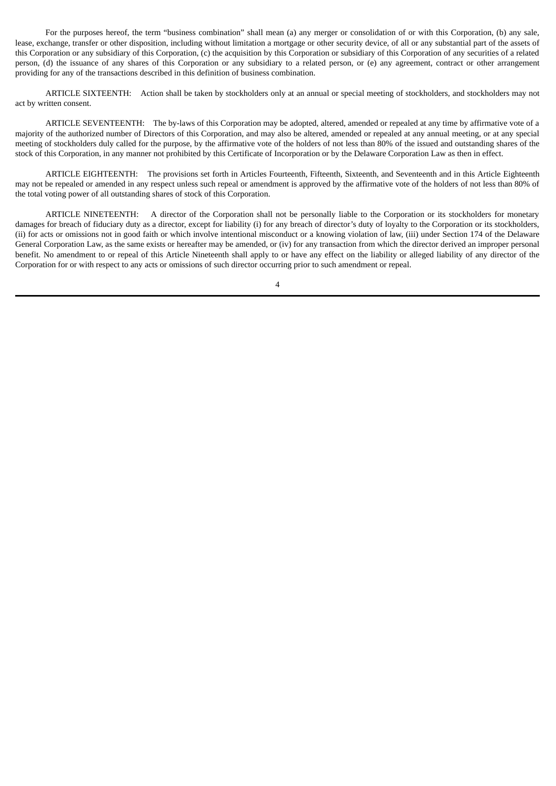For the purposes hereof, the term "business combination" shall mean (a) any merger or consolidation of or with this Corporation, (b) any sale, lease, exchange, transfer or other disposition, including without limitation a mortgage or other security device, of all or any substantial part of the assets of this Corporation or any subsidiary of this Corporation, (c) the acquisition by this Corporation or subsidiary of this Corporation of any securities of a related person, (d) the issuance of any shares of this Corporation or any subsidiary to a related person, or (e) any agreement, contract or other arrangement providing for any of the transactions described in this definition of business combination.

ARTICLE SIXTEENTH: Action shall be taken by stockholders only at an annual or special meeting of stockholders, and stockholders may not act by written consent.

ARTICLE SEVENTEENTH: The by-laws of this Corporation may be adopted, altered, amended or repealed at any time by affirmative vote of a majority of the authorized number of Directors of this Corporation, and may also be altered, amended or repealed at any annual meeting, or at any special meeting of stockholders duly called for the purpose, by the affirmative vote of the holders of not less than 80% of the issued and outstanding shares of the stock of this Corporation, in any manner not prohibited by this Certificate of Incorporation or by the Delaware Corporation Law as then in effect.

ARTICLE EIGHTEENTH: The provisions set forth in Articles Fourteenth, Fifteenth, Sixteenth, and Seventeenth and in this Article Eighteenth may not be repealed or amended in any respect unless such repeal or amendment is approved by the affirmative vote of the holders of not less than 80% of the total voting power of all outstanding shares of stock of this Corporation.

ARTICLE NINETEENTH: A director of the Corporation shall not be personally liable to the Corporation or its stockholders for monetary damages for breach of fiduciary duty as a director, except for liability (i) for any breach of director's duty of loyalty to the Corporation or its stockholders, (ii) for acts or omissions not in good faith or which involve intentional misconduct or a knowing violation of law, (iii) under Section 174 of the Delaware General Corporation Law, as the same exists or hereafter may be amended, or (iv) for any transaction from which the director derived an improper personal benefit. No amendment to or repeal of this Article Nineteenth shall apply to or have any effect on the liability or alleged liability of any director of the Corporation for or with respect to any acts or omissions of such director occurring prior to such amendment or repeal.

4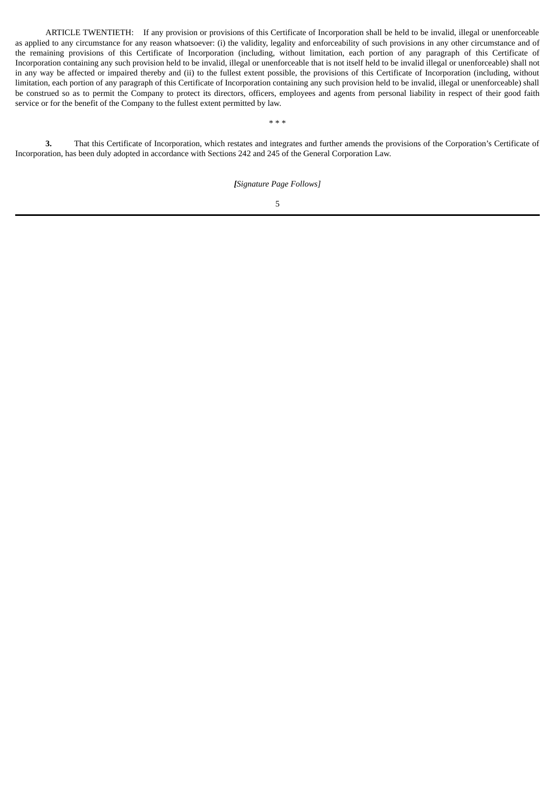ARTICLE TWENTIETH: If any provision or provisions of this Certificate of Incorporation shall be held to be invalid, illegal or unenforceable as applied to any circumstance for any reason whatsoever: (i) the validity, legality and enforceability of such provisions in any other circumstance and of the remaining provisions of this Certificate of Incorporation (including, without limitation, each portion of any paragraph of this Certificate of Incorporation containing any such provision held to be invalid, illegal or unenforceable that is not itself held to be invalid illegal or unenforceable) shall not in any way be affected or impaired thereby and (ii) to the fullest extent possible, the provisions of this Certificate of Incorporation (including, without limitation, each portion of any paragraph of this Certificate of Incorporation containing any such provision held to be invalid, illegal or unenforceable) shall be construed so as to permit the Company to protect its directors, officers, employees and agents from personal liability in respect of their good faith service or for the benefit of the Company to the fullest extent permitted by law.

**3.** That this Certificate of Incorporation, which restates and integrates and further amends the provisions of the Corporation's Certificate of Incorporation, has been duly adopted in accordance with Sections 242 and 245 of the General Corporation Law.

\* \* \*

*[Signature Page Follows]*

5